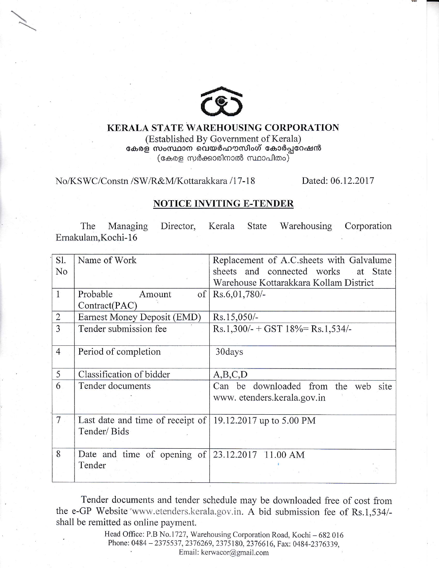

 $\overline{a}$ 

## KERALA STATE WAREHOUSTNG CORPORATION

(Established By Government of Keraia) കേരള സംസ്ഥാന വെയർഹൗസിംഗ് കോർപ്പറേഷൻ  $\left($ കേരള സർക്കാരിനാൽ സ്ഥാപിതം $\right)^{2}$ 

No/KSWC/Constn /SW/R&M/Kottarakkara /17-18 Dated: 06.12.2017

## NOTICE INVITING E-TENDER

The Managing Director, Kerala State Warehousing Corporation Ernakulam, Kochi-16

| Sl.            | Name of Work                                                  | Replacement of A.C. sheets with Galvalume |  |  |
|----------------|---------------------------------------------------------------|-------------------------------------------|--|--|
| No             |                                                               | sheets and connected works<br>at State    |  |  |
|                |                                                               | Warehouse Kottarakkara Kollam District    |  |  |
| $\mathbf{1}$   | of<br>Probable<br>Amount                                      | $Rs.6,01,780/-$                           |  |  |
|                | Contract(PAC)                                                 |                                           |  |  |
| $\overline{2}$ | Earnest Money Deposit (EMD)                                   | Rs.15,050/-                               |  |  |
| 3              | Tender submission fee                                         | $Rs.1,300/- + GST$ 18%= Rs.1,534/-        |  |  |
|                |                                                               |                                           |  |  |
| $\overline{4}$ | Period of completion                                          | 30days                                    |  |  |
|                |                                                               |                                           |  |  |
| 5              | Classification of bidder                                      | A, B, C, D                                |  |  |
| 6              | Tender documents                                              | Can be downloaded from the web site       |  |  |
|                |                                                               | www. etenders.kerala.gov.in               |  |  |
|                |                                                               |                                           |  |  |
| 7 <sup>7</sup> | Last date and time of receipt of $  19.12.2017$ up to 5.00 PM |                                           |  |  |
|                | Tender/Bids                                                   |                                           |  |  |
|                |                                                               |                                           |  |  |
| 8              | Date and time of opening of $ 23.12.2017 11.00 \text{ AM}$    |                                           |  |  |
|                | Tender                                                        |                                           |  |  |
|                |                                                               |                                           |  |  |

Tender documents and tender schedule may be downloaded free of cost from the e-GP Website 'www.etenders.kerala.gov.in. A bid submission fee of Rs.1,534/shall be remitted as online payment.

> Head Office: P.B No.1727, Warehousing Corporation Road, Kochi - 682 016<br>
> Phone: 0484 - 2375537, 2376269, 2375180, 2376616, Fax: 0484-2376339, Email: kerwacor@gmail.com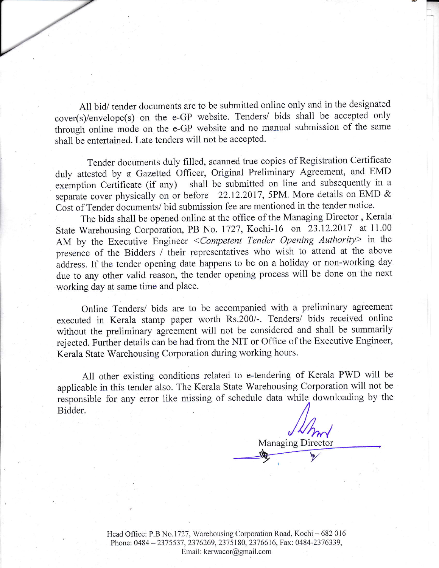All bid/ tender documents are to be submitted online only and in the designated cover(s)/envelope(s) on the e-GP website. Tenders/ bids shall be accepted only through online mode on the e-GP website and no manual submission of the same shall be entertained. Late tenders will not be accepted.

Tender documents duly filled, scanned true copies of Registration Certificate duly attested by a Gazetted officer, original Preliminary Agreement, and EMD exernption Certificate (if any) shall be submitted on line and subsequently in <sup>a</sup> separate cover physically on or before 22.12.2017, 5PM. More details on EMD  $\&$ Cost of Tender documents/ bid submission fee are mentioned in the tender notice.

The bids shall be opened online at the office of the Managing Director , Kerala state warehousing corporation, PB No. i727, Kochi-16 on 23.12.2017 at 11.00 AM by the Executive Engineer < Competent Tender Opening Authority> in the presence of the Bidders / their representatives who wish to attend at the above address. If the tender opening date happens to be on a holiday or non-working day due to any other valid reason, the tender opening process will be done on the next working day at same time and place.

Online Tenders/ bids are to be accompanied with a preliminary agreement executed in Kerala stamp paper worth Rs.200/-. Tenders/ bids received online without the preliminary agreement wili not be considered and sha1l be summarily rejected. Further details can be had from the NIT or Office of the Executive Engineer, Kerala State Warehousing Corporation during working hours.

All other existing conditions related to e-tendering of Kerala PWD will be applicable in this tender also. The Kerala State Warehousing Corporation will not be responsible for any error like missing of schedule data while downloading by the Bidder.

Managing Director

Head Office: P.B No.1727, Warehousing Corporation Road, Kochi - 682 016 Phone: 0484 - 2375537, 2376269, 2375180, 2376616, Fax: 0484-2376339, Email: kerwacor@gmail.com